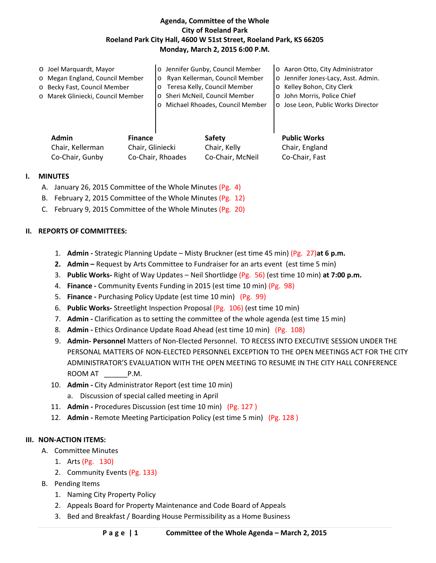#### **Agenda, Committee of the Whole City of Roeland Park Roeland Park City Hall, 4600 W 51st Street, Roeland Park, KS 66205 Monday, March 2, 2015 6:00 P.M.**

|                                   |  | o Jose Leon, Public Works Director                                                                                                                                            |
|-----------------------------------|--|-------------------------------------------------------------------------------------------------------------------------------------------------------------------------------|
| o Marek Gliniecki, Council Member |  | o John Morris, Police Chief                                                                                                                                                   |
| o Becky Fast, Council Member      |  | o Kelley Bohon, City Clerk                                                                                                                                                    |
| o Megan England, Council Member   |  | o Jennifer Jones-Lacy, Asst. Admin.                                                                                                                                           |
| O Joel Marquardt, Mayor           |  | o Aaron Otto, City Administrator                                                                                                                                              |
|                                   |  | o Jennifer Gunby, Council Member<br>o Ryan Kellerman, Council Member<br>o Teresa Kelly, Council Member<br>o Sheri McNeil, Council Member<br>o Michael Rhoades, Council Member |

## **I. MINUTES**

- A. January 26, 2015 Committee of the Whole Minutes (Pg. 4)
- B. February 2, 2015 Committee of the Whole Minutes (Pg. 12)
- C. February 9, 2015 Committee of the Whole Minutes (Pg. 20)

#### **II. REPORTS OF COMMITTEES:**

- 1. **Admin -** Strategic Planning Update Misty Bruckner (est time 45 min) (Pg. 27)**at 6 p.m.**
- **2. Admin –** Request by Arts Committee to Fundraiser for an arts event (est time 5 min)

Chair, Kellerman Chair, Gliniecki Chair, Kelly Chair, England Co-Chair, Gunby Co-Chair, Rhoades Co-Chair, McNeil Co-Chair, Fast

- 3. **Public Works-** Right of Way Updates Neil Shortlidge (Pg. 56) (est time 10 min) **at 7:00 p.m.**
- 4. **Finance -** Community Events Funding in 2015 (est time 10 min) (Pg. 98)
- 5. **Finance -** Purchasing Policy Update (est time 10 min) (Pg. 99)
- 6. **Public Works-** Streetlight Inspection Proposal (Pg. 106) (est time 10 min)
- 7. **Admin -** Clarification as to setting the committee of the whole agenda (est time 15 min)
- 8. **Admin -** Ethics Ordinance Update Road Ahead (est time 10 min) (Pg. 108)
- 9. **Admin- Personnel** Matters of Non-Elected Personnel. TO RECESS INTO EXECUTIVE SESSION UNDER THE PERSONAL MATTERS OF NON-ELECTED PERSONNEL EXCEPTION TO THE OPEN MEETINGS ACT FOR THE CITY ADMINISTRATOR'S EVALUATION WITH THE OPEN MEETING TO RESUME IN THE CITY HALL CONFERENCE ROOM AT P.M.
- 10. **Admin -** City Administrator Report (est time 10 min)
	- a. Discussion of special called meeting in April
- 11. **Admin -** Procedures Discussion (est time 10 min) (Pg. 127 )
- 12. **Admin -** Remote Meeting Participation Policy (est time 5 min) (Pg. 128 )

#### **III. NON-ACTION ITEMS:**

- A. Committee Minutes
	- 1. Arts (Pg. 130)
	- 2. Community Events (Pg. 133)
- B. Pending Items
	- 1. Naming City Property Policy
	- 2. Appeals Board for Property Maintenance and Code Board of Appeals
	- 3. Bed and Breakfast / Boarding House Permissibility as a Home Business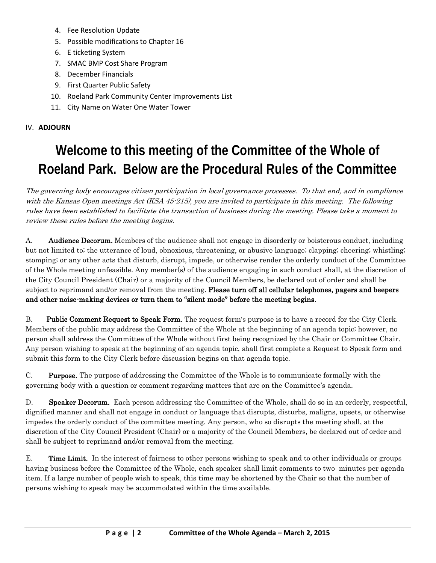- 4. Fee Resolution Update
- 5. Possible modifications to Chapter 16
- 6. E ticketing System
- 7. SMAC BMP Cost Share Program
- 8. December Financials
- 9. First Quarter Public Safety
- 10. Roeland Park Community Center Improvements List
- 11. City Name on Water One Water Tower

### IV. **ADJOURN**

# **Welcome to this meeting of the Committee of the Whole of Roeland Park. Below are the Procedural Rules of the Committee**

The governing body encourages citizen participation in local governance processes. To that end, and in compliance with the Kansas Open meetings Act (KSA 45-215), you are invited to participate in this meeting. The following rules have been established to facilitate the transaction of business during the meeting. Please take a moment to review these rules before the meeting begins.

A. **Audience Decorum.** Members of the audience shall not engage in disorderly or boisterous conduct, including but not limited to; the utterance of loud, obnoxious, threatening, or abusive language; clapping; cheering; whistling; stomping; or any other acts that disturb, disrupt, impede, or otherwise render the orderly conduct of the Committee of the Whole meeting unfeasible. Any member(s) of the audience engaging in such conduct shall, at the discretion of the City Council President (Chair) or a majority of the Council Members, be declared out of order and shall be subject to reprimand and/or removal from the meeting. Please turn off all cellular telephones, pagers and beepers and other noise-making devices or turn them to "silent mode" before the meeting begins.

B. Public Comment Request to Speak Form. The request form's purpose is to have a record for the City Clerk. Members of the public may address the Committee of the Whole at the beginning of an agenda topic; however, no person shall address the Committee of the Whole without first being recognized by the Chair or Committee Chair. Any person wishing to speak at the beginning of an agenda topic, shall first complete a Request to Speak form and submit this form to the City Clerk before discussion begins on that agenda topic.

C. Purpose. The purpose of addressing the Committee of the Whole is to communicate formally with the governing body with a question or comment regarding matters that are on the Committee's agenda.

D. Speaker Decorum. Each person addressing the Committee of the Whole, shall do so in an orderly, respectful, dignified manner and shall not engage in conduct or language that disrupts, disturbs, maligns, upsets, or otherwise impedes the orderly conduct of the committee meeting. Any person, who so disrupts the meeting shall, at the discretion of the City Council President (Chair) or a majority of the Council Members, be declared out of order and shall be subject to reprimand and/or removal from the meeting.

E. Time Limit. In the interest of fairness to other persons wishing to speak and to other individuals or groups having business before the Committee of the Whole, each speaker shall limit comments to two minutes per agenda item. If a large number of people wish to speak, this time may be shortened by the Chair so that the number of persons wishing to speak may be accommodated within the time available.